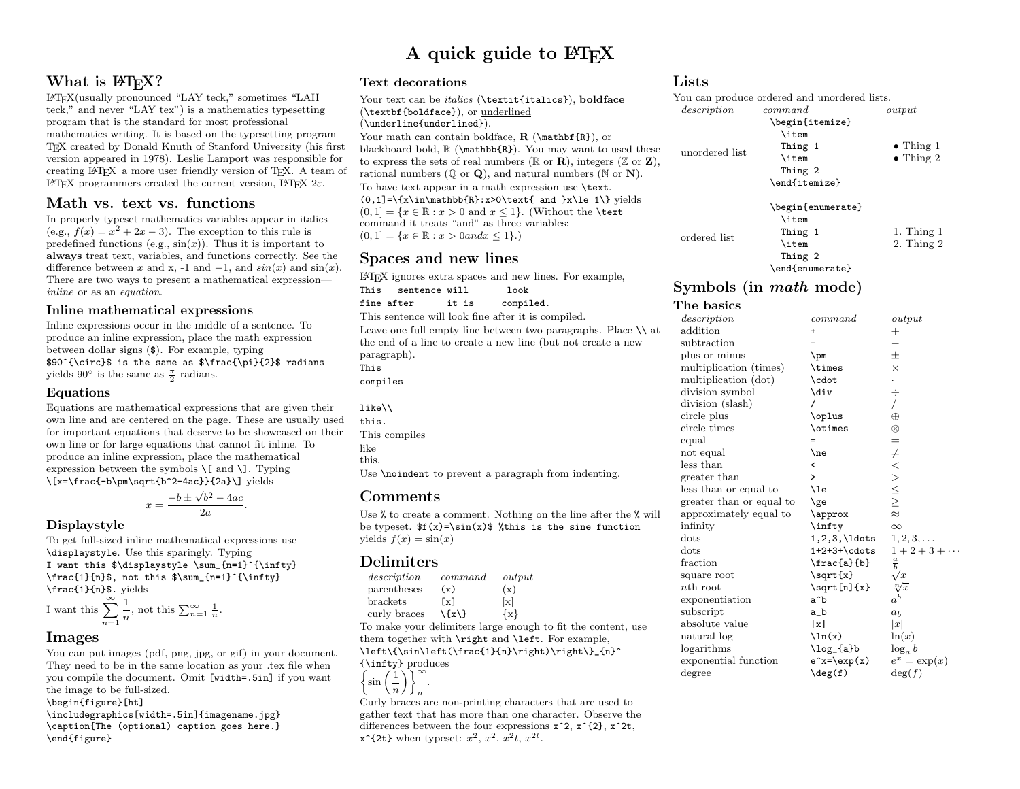# A quick guide to  $\angle M$ <sub>F</sub>X

## What is L<sup>AT</sup>FX?

LATEX(usually pronounced "LAY teck," sometimes "LAH teck," and never "LAY tex") is a mathematics typesetting program that is the standard for most professional mathematics writing. It is based on the typesetting program T<sub>E</sub>X created by Donald Knuth of Stanford University (his first version appeared in 1978). Leslie Lamport was responsible for creating LATEX a more user friendly version of TEX. A team of LAT<sub>E</sub>X programmers created the current version, LAT<sub>E</sub>X 2ε.

## Math vs. text vs. functions

In properly typeset mathematics variables appear in italics (e.g.,  $f(x) = x^2 + 2x - 3$ ). The exception to this rule is predefined functions (e.g.,  $sin(x)$ ). Thus it is important to always treat text, variables, and functions correctly. See the difference between x and x, -1 and  $-1$ , and  $sin(x)$  and  $sin(x)$ . There are two ways to present a mathematical expression inline or as an equation.

### Inline mathematical expressions

Inline expressions occur in the middle of a sentence. To produce an inline expression, place the math expression between dollar signs (\$). For example, typing \$90^{\circ}\$ is the same as \$\frac{\pi}{2}\$ radians yields 90 $^{\circ}$  is the same as  $\frac{\pi}{2}$  radians.

### Equations

Equations are mathematical expressions that are given their own line and are centered on the page. These are usually used for important equations that deserve to be showcased on their own line or for large equations that cannot fit inline. To produce an inline expression, place the mathematical expression between the symbols  $\setminus$ [ and  $\setminus$ ]. Typing \[x=\frac{-b\pm\sqrt{b^2-4ac}}{2a}\] yields

$$
x = \frac{-b \pm \sqrt{b^2 - 4ac}}{2a}.
$$

### Displaystyle

To get full-sized inline mathematical expressions use \displaystyle. Use this sparingly. Typing I want this  $\displaystyle \sum_{n=1}^{\infty}$ \frac{1}{n}\$, not this \$\sum\_{n=1}^{\infty} \frac{1}{n}\$. yields

I want this 
$$
\sum_{n=1}^{\infty} \frac{1}{n}
$$
, not this  $\sum_{n=1}^{\infty} \frac{1}{n}$ .

## Images

You can put images (pdf, png, jpg, or gif) in your document. They need to be in the same location as your .tex file when you compile the document. Omit [width=.5in] if you want the image to be full-sized.

\begin{figure}[ht]

\includegraphics[width=.5in]{imagename.jpg} \caption{The (optional) caption goes here.} \end{figure}

### Text decorations

Your text can be *italics* (\textit{italics}), boldface (\textbf{boldface}), or underlined (\underline{underlined}). Your math can contain boldface,  $\mathbf{R}$  (\mathbf{R}), or blackboard bold,  $\mathbb{R}$  ( $\mathbb{R}$ ). You may want to used these to express the sets of real numbers ( $\mathbb R$  or  $\mathbb R$ ), integers ( $\mathbb Z$  or  $\mathbb Z$ ), rational numbers  $(\mathbb{Q} \text{ or } \mathbf{Q})$ , and natural numbers  $(\mathbb{N} \text{ or } \mathbf{N})$ . To have text appear in a math expression use \text.  $(0,1]=\{x\in\mathbb{R}:x\geq0\text{ and }x\leq 1\}$  yields  $(0, 1] = \{x \in \mathbb{R} : x > 0 \text{ and } x \leq 1\}.$  (Without the **\text**) command it treats "and" as three variables:  $(0, 1] = \{x \in \mathbb{R} : x > 0 \text{ and } x \leq 1\}.$ 

## Spaces and new lines

 $\LaTeX{}$  ignores extra spaces and new lines. For example, This sentence will  $\it look$ This sentence will

fine after it is compiled.

This sentence will look fine after it is compiled.

Leave one full empty line between two paragraphs. Place  $\setminus \$ at the end of a line to create a new line (but not create a new paragraph). This

compiles

Use **\noindent** to prevent a paragraph from indenting.

## **Comments**

Use  $\%$  to create a comment. Nothing on the line after the  $\%$  will be typeset.  $f(x)=\sin(x)$  % this is the sine function yields  $f(x) = \sin(x)$ 

## Delimiters

| description       | command | output            |
|-------------------|---------|-------------------|
| $\mu$ parentheses | (x)     | (x)               |
| brackets          | [x]     | $\lceil x \rceil$ |
| curly braces      | $\{x\}$ | $\{x\}$           |

To make your delimiters large enough to fit the content, use them together with \right and \left. For example, \left\{\sin\left(\frac{1}{n}\right)\right\}\_{n}^

```
{\infty} produces
\sin\left( \frac{1}{2} \right)\`\ ∼
```
n n .

Curly braces are non-printing characters that are used to gather text that has more than one character. Observe the differences between the four expressions  $x^2$ ,  $x^2$ {2},  $x^2$ t,  $x^2$ {2t} when typeset:  $x^2$ ,  $x^2$ ,  $x^2t$ ,  $x^{2t}$ .

## Lists

|                | You can produce ordered and unordered lists. |                   |
|----------------|----------------------------------------------|-------------------|
| description    | command                                      | output            |
|                | \begin{itemize}                              |                   |
|                | \item                                        |                   |
| unordered list | Thing 1                                      | $\bullet$ Thing 1 |
|                | \item                                        | $\bullet$ Thing 2 |
|                | Thing 2                                      |                   |
|                | \end{itemize}                                |                   |
|                | \begin{enumerate}                            |                   |
|                | \item                                        |                   |
| ordered list   | Thing 1                                      | 1. Thing $1$      |
|                | \item                                        | $2.$ Thing $2$    |
|                | Thing 2                                      |                   |
|                | \end{enumerate}                              |                   |

# Symbols (in math mode)

#### The basics description command output

| addition                 | +                        | $^{+}$                 |
|--------------------------|--------------------------|------------------------|
| subtraction              |                          |                        |
| plus or minus            | $\pm$                    | 士                      |
| multiplication (times)   | \times                   | ×                      |
| multiplication (dot)     | \cdot                    |                        |
| division symbol          | \div                     | ÷                      |
| division (slash)         |                          |                        |
| circle plus              | \oplus                   | $\oplus$               |
| circle times             | \otimes                  | $^{\otimes}$           |
| equal                    |                          | $=$                    |
| not equal                | \ne                      |                        |
| less than                | $\overline{\phantom{0}}$ | $\neq 0 \leq x \leq 1$ |
| greater than             | >                        |                        |
| less than or equal to    | \le                      |                        |
| greater than or equal to | \ge                      |                        |
| approximately equal to   | \approx                  |                        |
| infinity                 | \infty                   | $\infty$               |
| dots                     | $1, 2, 3, \ldots$        | $1, 2, 3, \ldots$      |
| dots                     | 1+2+3+\cdots             | $1 + 2 + 3 + \cdots$   |
| fraction                 | \frac{a}{b}              | $\frac{a}{b}$          |
| square root              | $\sqrt{\sqrt{x}}$        | $\sqrt{x}$             |
| $n_{\text{th}}$ root     | $\sqrt{\sqrt{x}}$        | $\sqrt[n]{x}$          |
| exponentiation           | a^b                      | $\boldsymbol{a}^b$     |
| subscript                | a_b                      | a <sub>b</sub>         |
| absolute value           | x                        | x                      |
| natural log              | $\ln(x)$                 | ln(x)                  |
| logarithms               | $\log_{a}b$              | $\log_a b$             |
| exponential function     | $e^x=\exp(x)$            | $e^x = \exp(x)$        |
| degree                   | $\deg(f)$                | $\deg(f)$              |